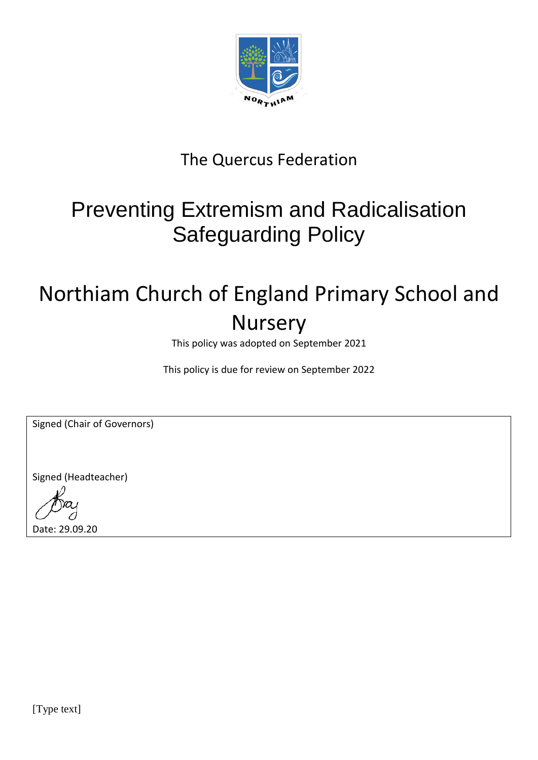

### The Quercus Federation

## Preventing Extremism and Radicalisation Safeguarding Policy

# Northiam Church of England Primary School and Nursery

This policy was adopted on September 2021

This policy is due for review on September 2022

Signed (Chair of Governors)

Signed (Headteacher)

Date: 29.09.20

[Type text]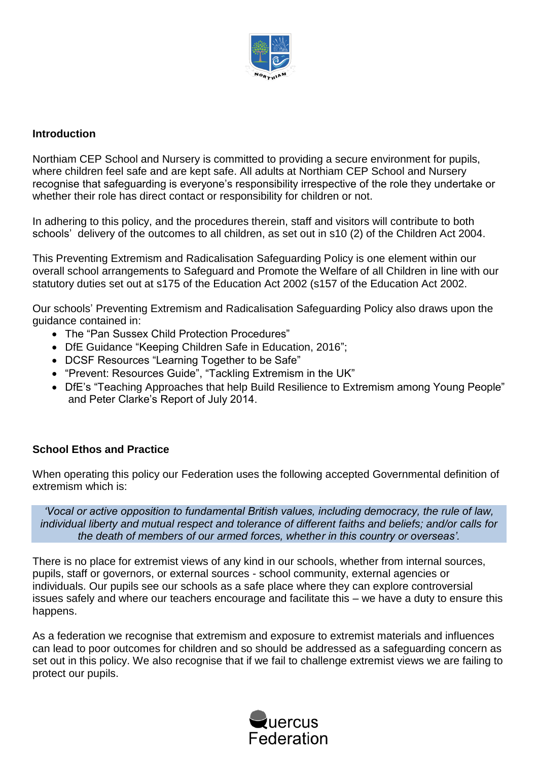

#### **Introduction**

Northiam CEP School and Nursery is committed to providing a secure environment for pupils, where children feel safe and are kept safe. All adults at Northiam CEP School and Nursery recognise that safeguarding is everyone's responsibility irrespective of the role they undertake or whether their role has direct contact or responsibility for children or not.

In adhering to this policy, and the procedures therein, staff and visitors will contribute to both schools' delivery of the outcomes to all children, as set out in s10 (2) of the Children Act 2004.

This Preventing Extremism and Radicalisation Safeguarding Policy is one element within our overall school arrangements to Safeguard and Promote the Welfare of all Children in line with our statutory duties set out at s175 of the Education Act 2002 (s157 of the Education Act 2002.

Our schools' Preventing Extremism and Radicalisation Safeguarding Policy also draws upon the guidance contained in:

- The "Pan Sussex Child Protection Procedures"
- DfE Guidance "Keeping Children Safe in Education, 2016";
- DCSF Resources "Learning Together to be Safe"
- "Prevent: Resources Guide", "Tackling Extremism in the UK"
- DfE's "Teaching Approaches that help Build Resilience to Extremism among Young People" and Peter Clarke's Report of July 2014.

#### **School Ethos and Practice**

When operating this policy our Federation uses the following accepted Governmental definition of extremism which is:

*'Vocal or active opposition to fundamental British values, including democracy, the rule of law, individual liberty and mutual respect and tolerance of different faiths and beliefs; and/or calls for the death of members of our armed forces, whether in this country or overseas'.*

There is no place for extremist views of any kind in our schools, whether from internal sources, pupils, staff or governors, or external sources - school community, external agencies or individuals. Our pupils see our schools as a safe place where they can explore controversial issues safely and where our teachers encourage and facilitate this – we have a duty to ensure this happens.

As a federation we recognise that extremism and exposure to extremist materials and influences can lead to poor outcomes for children and so should be addressed as a safeguarding concern as set out in this policy. We also recognise that if we fail to challenge extremist views we are failing to protect our pupils.

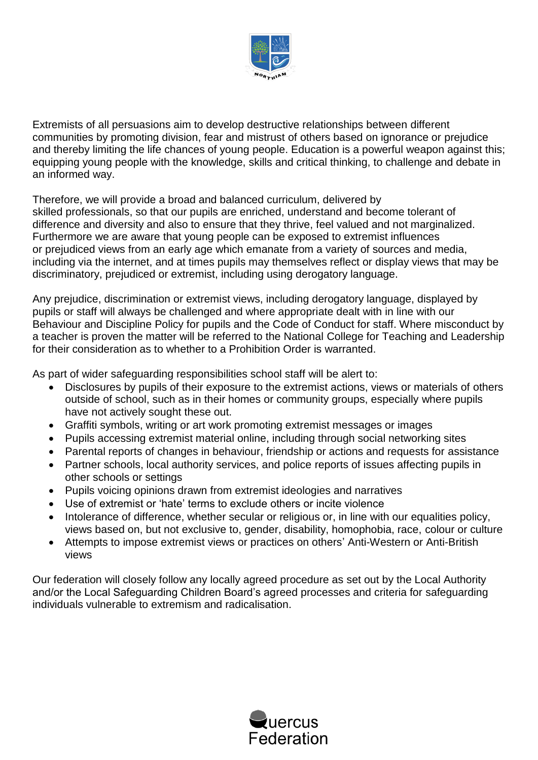

Extremists of all persuasions aim to develop destructive relationships between different communities by promoting division, fear and mistrust of others based on ignorance or prejudice and thereby limiting the life chances of young people. Education is a powerful weapon against this; equipping young people with the knowledge, skills and critical thinking, to challenge and debate in an informed way.

Therefore, we will provide a broad and balanced curriculum, delivered by

skilled professionals, so that our pupils are enriched, understand and become tolerant of difference and diversity and also to ensure that they thrive, feel valued and not marginalized. Furthermore we are aware that young people can be exposed to extremist influences or prejudiced views from an early age which emanate from a variety of sources and media, including via the internet, and at times pupils may themselves reflect or display views that may be discriminatory, prejudiced or extremist, including using derogatory language.

Any prejudice, discrimination or extremist views, including derogatory language, displayed by pupils or staff will always be challenged and where appropriate dealt with in line with our Behaviour and Discipline Policy for pupils and the Code of Conduct for staff. Where misconduct by a teacher is proven the matter will be referred to the National College for Teaching and Leadership for their consideration as to whether to a Prohibition Order is warranted.

As part of wider safeguarding responsibilities school staff will be alert to:

- Disclosures by pupils of their exposure to the extremist actions, views or materials of others outside of school, such as in their homes or community groups, especially where pupils have not actively sought these out.
- Graffiti symbols, writing or art work promoting extremist messages or images
- Pupils accessing extremist material online, including through social networking sites
- Parental reports of changes in behaviour, friendship or actions and requests for assistance
- Partner schools, local authority services, and police reports of issues affecting pupils in other schools or settings
- Pupils voicing opinions drawn from extremist ideologies and narratives
- Use of extremist or 'hate' terms to exclude others or incite violence
- Intolerance of difference, whether secular or religious or, in line with our equalities policy, views based on, but not exclusive to, gender, disability, homophobia, race, colour or culture
- Attempts to impose extremist views or practices on others' Anti-Western or Anti-British views

Our federation will closely follow any locally agreed procedure as set out by the Local Authority and/or the Local Safeguarding Children Board's agreed processes and criteria for safeguarding individuals vulnerable to extremism and radicalisation.

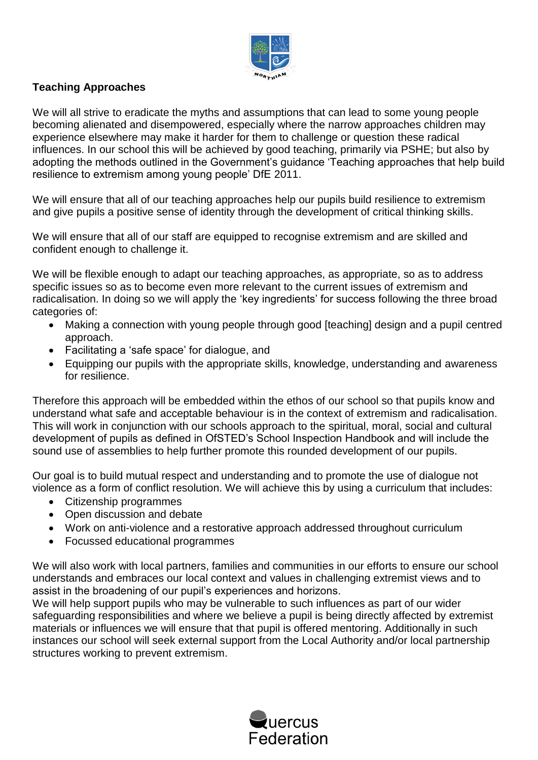

#### **Teaching Approaches**

We will all strive to eradicate the myths and assumptions that can lead to some young people becoming alienated and disempowered, especially where the narrow approaches children may experience elsewhere may make it harder for them to challenge or question these radical influences. In our school this will be achieved by good teaching, primarily via PSHE; but also by adopting the methods outlined in the Government's guidance 'Teaching approaches that help build resilience to extremism among young people' DfE 2011.

We will ensure that all of our teaching approaches help our pupils build resilience to extremism and give pupils a positive sense of identity through the development of critical thinking skills.

We will ensure that all of our staff are equipped to recognise extremism and are skilled and confident enough to challenge it.

We will be flexible enough to adapt our teaching approaches, as appropriate, so as to address specific issues so as to become even more relevant to the current issues of extremism and radicalisation. In doing so we will apply the 'key ingredients' for success following the three broad categories of:

- Making a connection with young people through good [teaching] design and a pupil centred approach.
- Facilitating a 'safe space' for dialogue, and
- Equipping our pupils with the appropriate skills, knowledge, understanding and awareness for resilience.

Therefore this approach will be embedded within the ethos of our school so that pupils know and understand what safe and acceptable behaviour is in the context of extremism and radicalisation. This will work in conjunction with our schools approach to the spiritual, moral, social and cultural development of pupils as defined in OfSTED's School Inspection Handbook and will include the sound use of assemblies to help further promote this rounded development of our pupils.

Our goal is to build mutual respect and understanding and to promote the use of dialogue not violence as a form of conflict resolution. We will achieve this by using a curriculum that includes:

- Citizenship programmes
- Open discussion and debate
- Work on anti-violence and a restorative approach addressed throughout curriculum
- Focussed educational programmes

We will also work with local partners, families and communities in our efforts to ensure our school understands and embraces our local context and values in challenging extremist views and to assist in the broadening of our pupil's experiences and horizons.

We will help support pupils who may be vulnerable to such influences as part of our wider safeguarding responsibilities and where we believe a pupil is being directly affected by extremist materials or influences we will ensure that that pupil is offered mentoring. Additionally in such instances our school will seek external support from the Local Authority and/or local partnership structures working to prevent extremism.

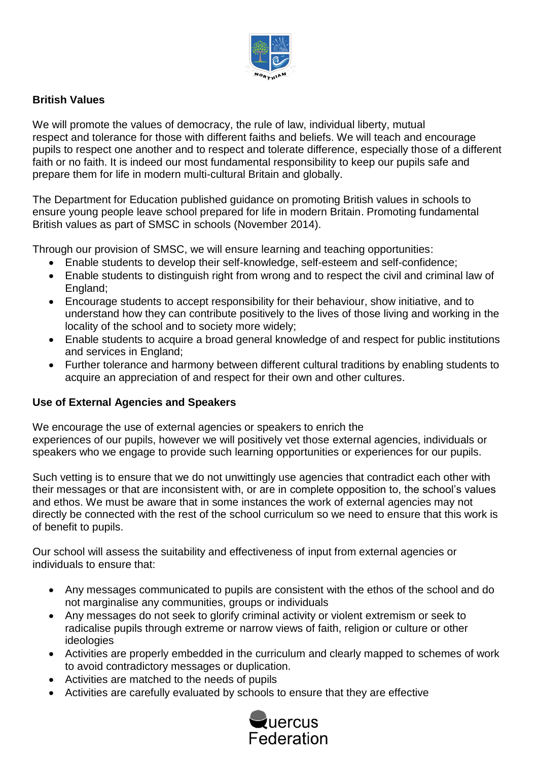

#### **British Values**

We will promote the values of democracy, the rule of law, individual liberty, mutual respect and tolerance for those with different faiths and beliefs. We will teach and encourage pupils to respect one another and to respect and tolerate difference, especially those of a different faith or no faith. It is indeed our most fundamental responsibility to keep our pupils safe and prepare them for life in modern multi-cultural Britain and globally.

The Department for Education published guidance on promoting British values in schools to ensure young people leave school prepared for life in modern Britain. Promoting fundamental British values as part of SMSC in schools (November 2014).

Through our provision of SMSC, we will ensure learning and teaching opportunities:

- Enable students to develop their self-knowledge, self-esteem and self-confidence;
- Enable students to distinguish right from wrong and to respect the civil and criminal law of England;
- Encourage students to accept responsibility for their behaviour, show initiative, and to understand how they can contribute positively to the lives of those living and working in the locality of the school and to society more widely;
- Enable students to acquire a broad general knowledge of and respect for public institutions and services in England;
- Further tolerance and harmony between different cultural traditions by enabling students to acquire an appreciation of and respect for their own and other cultures.

#### **Use of External Agencies and Speakers**

We encourage the use of external agencies or speakers to enrich the experiences of our pupils, however we will positively vet those external agencies, individuals or speakers who we engage to provide such learning opportunities or experiences for our pupils.

Such vetting is to ensure that we do not unwittingly use agencies that contradict each other with their messages or that are inconsistent with, or are in complete opposition to, the school's values and ethos. We must be aware that in some instances the work of external agencies may not directly be connected with the rest of the school curriculum so we need to ensure that this work is of benefit to pupils.

Our school will assess the suitability and effectiveness of input from external agencies or individuals to ensure that:

- Any messages communicated to pupils are consistent with the ethos of the school and do not marginalise any communities, groups or individuals
- Any messages do not seek to glorify criminal activity or violent extremism or seek to radicalise pupils through extreme or narrow views of faith, religion or culture or other ideologies
- Activities are properly embedded in the curriculum and clearly mapped to schemes of work to avoid contradictory messages or duplication.
- Activities are matched to the needs of pupils
- Activities are carefully evaluated by schools to ensure that they are effective

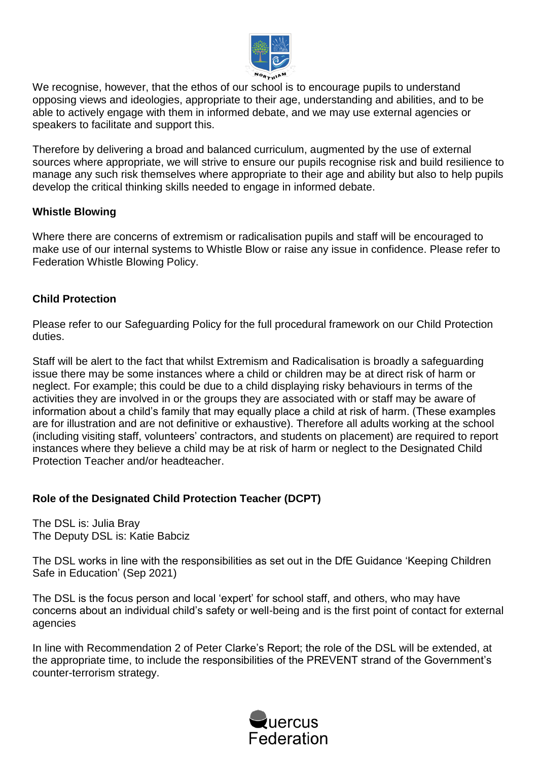

We recognise, however, that the ethos of our school is to encourage pupils to understand opposing views and ideologies, appropriate to their age, understanding and abilities, and to be able to actively engage with them in informed debate, and we may use external agencies or speakers to facilitate and support this.

Therefore by delivering a broad and balanced curriculum, augmented by the use of external sources where appropriate, we will strive to ensure our pupils recognise risk and build resilience to manage any such risk themselves where appropriate to their age and ability but also to help pupils develop the critical thinking skills needed to engage in informed debate.

#### **Whistle Blowing**

Where there are concerns of extremism or radicalisation pupils and staff will be encouraged to make use of our internal systems to Whistle Blow or raise any issue in confidence. Please refer to Federation Whistle Blowing Policy.

#### **Child Protection**

Please refer to our Safeguarding Policy for the full procedural framework on our Child Protection duties.

Staff will be alert to the fact that whilst Extremism and Radicalisation is broadly a safeguarding issue there may be some instances where a child or children may be at direct risk of harm or neglect. For example; this could be due to a child displaying risky behaviours in terms of the activities they are involved in or the groups they are associated with or staff may be aware of information about a child's family that may equally place a child at risk of harm. (These examples are for illustration and are not definitive or exhaustive). Therefore all adults working at the school (including visiting staff, volunteers' contractors, and students on placement) are required to report instances where they believe a child may be at risk of harm or neglect to the Designated Child Protection Teacher and/or headteacher.

#### **Role of the Designated Child Protection Teacher (DCPT)**

The DSL is: Julia Bray The Deputy DSL is: Katie Babciz

The DSL works in line with the responsibilities as set out in the DfE Guidance 'Keeping Children Safe in Education' (Sep 2021)

The DSL is the focus person and local 'expert' for school staff, and others, who may have concerns about an individual child's safety or well-being and is the first point of contact for external agencies

In line with Recommendation 2 of Peter Clarke's Report; the role of the DSL will be extended, at the appropriate time, to include the responsibilities of the PREVENT strand of the Government's counter-terrorism strategy.

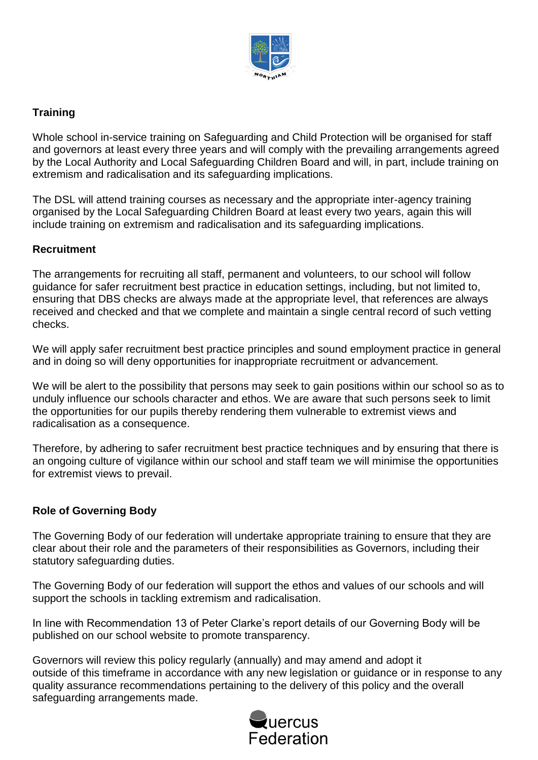

#### **Training**

Whole school in-service training on Safeguarding and Child Protection will be organised for staff and governors at least every three years and will comply with the prevailing arrangements agreed by the Local Authority and Local Safeguarding Children Board and will, in part, include training on extremism and radicalisation and its safeguarding implications.

The DSL will attend training courses as necessary and the appropriate inter-agency training organised by the Local Safeguarding Children Board at least every two years, again this will include training on extremism and radicalisation and its safeguarding implications.

#### **Recruitment**

The arrangements for recruiting all staff, permanent and volunteers, to our school will follow guidance for safer recruitment best practice in education settings, including, but not limited to, ensuring that DBS checks are always made at the appropriate level, that references are always received and checked and that we complete and maintain a single central record of such vetting checks.

We will apply safer recruitment best practice principles and sound employment practice in general and in doing so will deny opportunities for inappropriate recruitment or advancement.

We will be alert to the possibility that persons may seek to gain positions within our school so as to unduly influence our schools character and ethos. We are aware that such persons seek to limit the opportunities for our pupils thereby rendering them vulnerable to extremist views and radicalisation as a consequence.

Therefore, by adhering to safer recruitment best practice techniques and by ensuring that there is an ongoing culture of vigilance within our school and staff team we will minimise the opportunities for extremist views to prevail.

#### **Role of Governing Body**

The Governing Body of our federation will undertake appropriate training to ensure that they are clear about their role and the parameters of their responsibilities as Governors, including their statutory safeguarding duties.

The Governing Body of our federation will support the ethos and values of our schools and will support the schools in tackling extremism and radicalisation.

In line with Recommendation 13 of Peter Clarke's report details of our Governing Body will be published on our school website to promote transparency.

Governors will review this policy regularly (annually) and may amend and adopt it outside of this timeframe in accordance with any new legislation or guidance or in response to any quality assurance recommendations pertaining to the delivery of this policy and the overall safeguarding arrangements made.